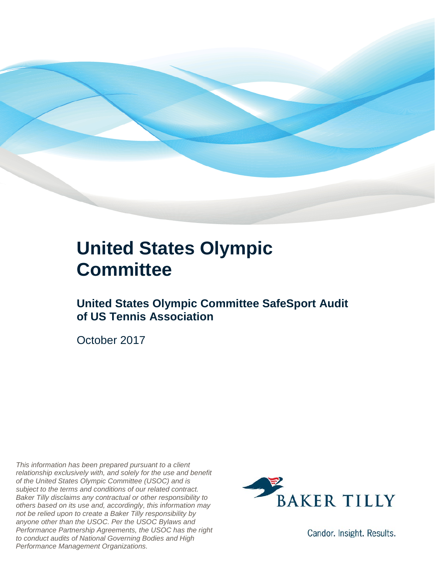

### **United States Olympic Committee**

**United States Olympic Committee SafeSport Audit of US Tennis Association**

October 2017

*This information has been prepared pursuant to a client relationship exclusively with, and solely for the use and benefit of the United States Olympic Committee (USOC) and is subject to the terms and conditions of our related contract. Baker Tilly disclaims any contractual or other responsibility to others based on its use and, accordingly, this information may not be relied upon to create a Baker Tilly responsibility by anyone other than the USOC. Per the USOC Bylaws and Performance Partnership Agreements, the USOC has the right to conduct audits of National Governing Bodies and High Performance Management Organizations.*



Candor. Insight. Results.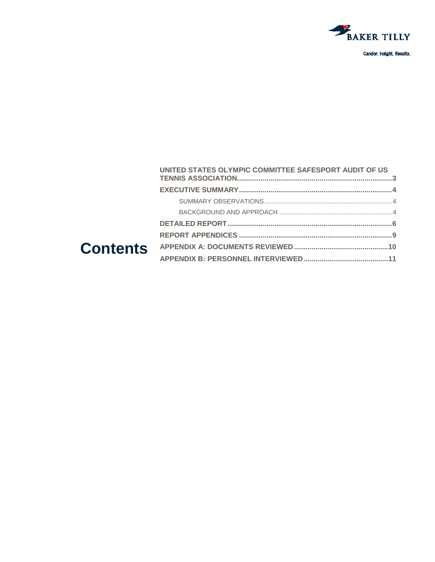

#### UNITED STATES OLYMPIC COMMITTEE SAFESPORT AUDIT OF US **Contents**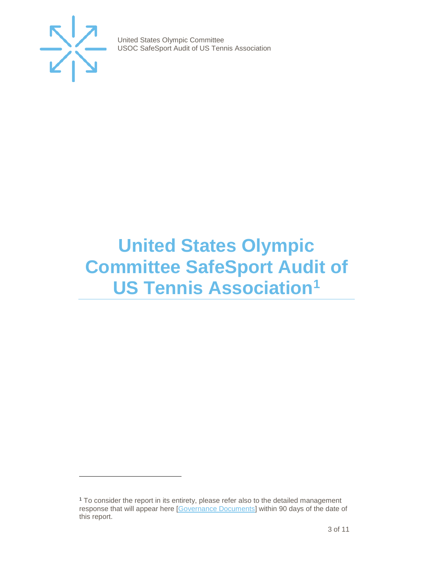

j

United States Olympic Committee USOC SafeSport Audit of US Tennis Association

## <span id="page-2-0"></span>**United States Olympic Committee SafeSport Audit of US Tennis Association[1](#page-2-1)**

<span id="page-2-1"></span><sup>1</sup> To consider the report in its entirety, please refer also to the detailed management response that will appear here [\[Governance Documents\]](https://www.teamusa.org/Footer/Legal/Governance-Documents) within 90 days of the date of this report.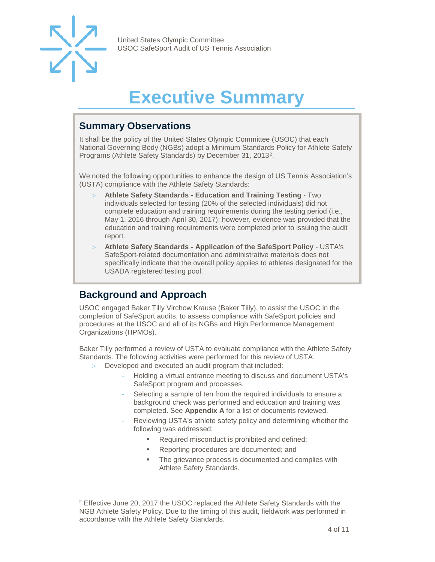

-

United States Olympic Committee USOC SafeSport Audit of US Tennis Association

# **Executive Summary**

#### <span id="page-3-1"></span><span id="page-3-0"></span>**Summary Observations**

It shall be the policy of the United States Olympic Committee (USOC) that each National Governing Body (NGBs) adopt a Minimum Standards Policy for Athlete Safety Programs (Athlete Safety Standards) by December 31, 2013[2](#page-3-3).

We noted the following opportunities to enhance the design of US Tennis Association's (USTA) compliance with the Athlete Safety Standards:

- > **Athlete Safety Standards - Education and Training Testing** Two individuals selected for testing (20% of the selected individuals) did not complete education and training requirements during the testing period (i.e., May 1, 2016 through April 30, 2017); however, evidence was provided that the education and training requirements were completed prior to issuing the audit report.
- > **Athlete Safety Standards - Application of the SafeSport Policy** USTA's SafeSport-related documentation and administrative materials does not specifically indicate that the overall policy applies to athletes designated for the USADA registered testing pool.

#### <span id="page-3-2"></span>**Background and Approach**

USOC engaged Baker Tilly Virchow Krause (Baker Tilly), to assist the USOC in the completion of SafeSport audits, to assess compliance with SafeSport policies and procedures at the USOC and all of its NGBs and High Performance Management Organizations (HPMOs).

Baker Tilly performed a review of USTA to evaluate compliance with the Athlete Safety Standards. The following activities were performed for this review of USTA:

- Developed and executed an audit program that included:
	- Holding a virtual entrance meeting to discuss and document USTA's SafeSport program and processes.
	- Selecting a sample of ten from the required individuals to ensure a background check was performed and education and training was completed. See **Appendix A** for a list of documents reviewed.
	- Reviewing USTA's athlete safety policy and determining whether the following was addressed:
		- **Required misconduct is prohibited and defined;**
		- Reporting procedures are documented; and
		- **The grievance process is documented and complies with** Athlete Safety Standards.

<span id="page-3-3"></span><sup>2</sup> Effective June 20, 2017 the USOC replaced the Athlete Safety Standards with the NGB Athlete Safety Policy. Due to the timing of this audit, fieldwork was performed in accordance with the Athlete Safety Standards.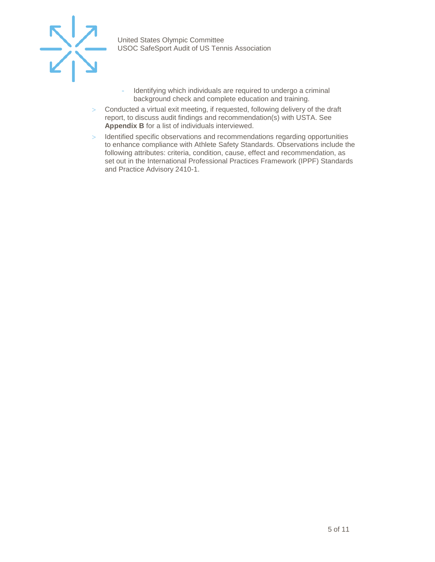

- Identifying which individuals are required to undergo a criminal background check and complete education and training.
- > Conducted a virtual exit meeting, if requested, following delivery of the draft report, to discuss audit findings and recommendation(s) with USTA. See **Appendix B** for a list of individuals interviewed.
- > Identified specific observations and recommendations regarding opportunities to enhance compliance with Athlete Safety Standards. Observations include the following attributes: criteria, condition, cause, effect and recommendation, as set out in the International Professional Practices Framework (IPPF) Standards and Practice Advisory 2410-1.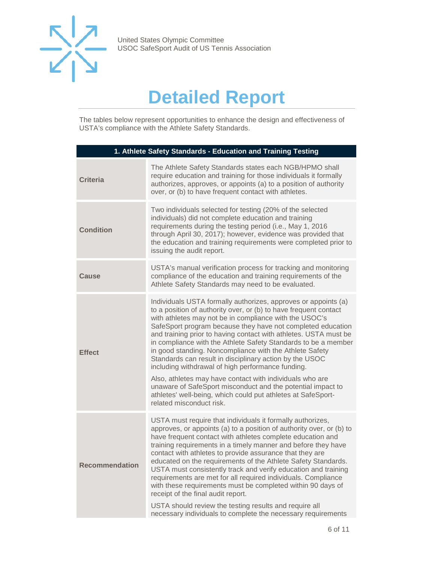

## **Detailed Report**

<span id="page-5-0"></span>The tables below represent opportunities to enhance the design and effectiveness of USTA's compliance with the Athlete Safety Standards.

| 1. Athlete Safety Standards - Education and Training Testing |                                                                                                                                                                                                                                                                                                                                                                                                                                                                                                                                                                                                                                                                                                                                                                                                     |  |
|--------------------------------------------------------------|-----------------------------------------------------------------------------------------------------------------------------------------------------------------------------------------------------------------------------------------------------------------------------------------------------------------------------------------------------------------------------------------------------------------------------------------------------------------------------------------------------------------------------------------------------------------------------------------------------------------------------------------------------------------------------------------------------------------------------------------------------------------------------------------------------|--|
| <b>Criteria</b>                                              | The Athlete Safety Standards states each NGB/HPMO shall<br>require education and training for those individuals it formally<br>authorizes, approves, or appoints (a) to a position of authority<br>over, or (b) to have frequent contact with athletes.                                                                                                                                                                                                                                                                                                                                                                                                                                                                                                                                             |  |
| <b>Condition</b>                                             | Two individuals selected for testing (20% of the selected<br>individuals) did not complete education and training<br>requirements during the testing period (i.e., May 1, 2016<br>through April 30, 2017); however, evidence was provided that<br>the education and training requirements were completed prior to<br>issuing the audit report.                                                                                                                                                                                                                                                                                                                                                                                                                                                      |  |
| <b>Cause</b>                                                 | USTA's manual verification process for tracking and monitoring<br>compliance of the education and training requirements of the<br>Athlete Safety Standards may need to be evaluated.                                                                                                                                                                                                                                                                                                                                                                                                                                                                                                                                                                                                                |  |
| <b>Effect</b>                                                | Individuals USTA formally authorizes, approves or appoints (a)<br>to a position of authority over, or (b) to have frequent contact<br>with athletes may not be in compliance with the USOC's<br>SafeSport program because they have not completed education<br>and training prior to having contact with athletes. USTA must be<br>in compliance with the Athlete Safety Standards to be a member<br>in good standing. Noncompliance with the Athlete Safety<br>Standards can result in disciplinary action by the USOC<br>including withdrawal of high performance funding.<br>Also, athletes may have contact with individuals who are<br>unaware of SafeSport misconduct and the potential impact to<br>athletes' well-being, which could put athletes at SafeSport-<br>related misconduct risk. |  |
| Recommendation                                               | USTA must require that individuals it formally authorizes,<br>approves, or appoints (a) to a position of authority over, or (b) to<br>have frequent contact with athletes complete education and<br>training requirements in a timely manner and before they have<br>contact with athletes to provide assurance that they are<br>educated on the requirements of the Athlete Safety Standards.<br>USTA must consistently track and verify education and training<br>requirements are met for all required individuals. Compliance<br>with these requirements must be completed within 90 days of<br>receipt of the final audit report.<br>USTA should review the testing results and require all<br>necessary individuals to complete the necessary requirements                                    |  |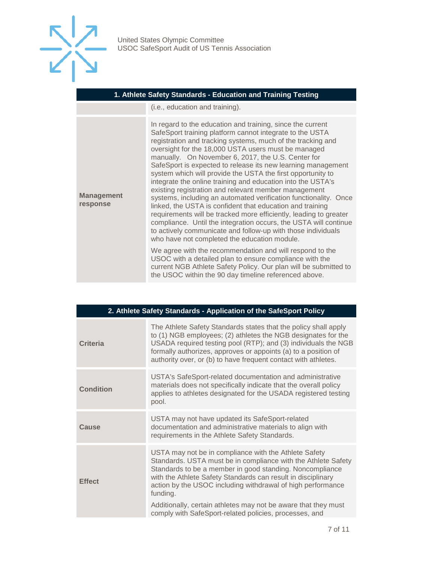

#### **1. Athlete Safety Standards - Education and Training Testing**

(i.e., education and training).

| <b>Management</b><br>response | In regard to the education and training, since the current<br>SafeSport training platform cannot integrate to the USTA<br>registration and tracking systems, much of the tracking and<br>oversight for the 18,000 USTA users must be managed<br>manually. On November 6, 2017, the U.S. Center for<br>SafeSport is expected to release its new learning management<br>system which will provide the USTA the first opportunity to<br>integrate the online training and education into the USTA's<br>existing registration and relevant member management<br>systems, including an automated verification functionality. Once<br>linked, the USTA is confident that education and training<br>requirements will be tracked more efficiently, leading to greater<br>compliance. Until the integration occurs, the USTA will continue<br>to actively communicate and follow-up with those individuals<br>who have not completed the education module. |
|-------------------------------|----------------------------------------------------------------------------------------------------------------------------------------------------------------------------------------------------------------------------------------------------------------------------------------------------------------------------------------------------------------------------------------------------------------------------------------------------------------------------------------------------------------------------------------------------------------------------------------------------------------------------------------------------------------------------------------------------------------------------------------------------------------------------------------------------------------------------------------------------------------------------------------------------------------------------------------------------|
|                               | We agree with the recommendation and will respond to the<br>USOC with a detailed plan to ensure compliance with the<br>current NGB Athlete Safety Policy. Our plan will be submitted to<br>the USOC within the 90 day timeline referenced above.                                                                                                                                                                                                                                                                                                                                                                                                                                                                                                                                                                                                                                                                                                   |

| 2. Athlete Safety Standards - Application of the SafeSport Policy |                                                                                                                                                                                                                                                                                                                                                                                                 |  |
|-------------------------------------------------------------------|-------------------------------------------------------------------------------------------------------------------------------------------------------------------------------------------------------------------------------------------------------------------------------------------------------------------------------------------------------------------------------------------------|--|
| Criteria                                                          | The Athlete Safety Standards states that the policy shall apply<br>to (1) NGB employees; (2) athletes the NGB designates for the<br>USADA required testing pool (RTP); and (3) individuals the NGB<br>formally authorizes, approves or appoints (a) to a position of<br>authority over, or (b) to have frequent contact with athletes.                                                          |  |
| <b>Condition</b>                                                  | USTA's SafeSport-related documentation and administrative<br>materials does not specifically indicate that the overall policy<br>applies to athletes designated for the USADA registered testing<br>pool.                                                                                                                                                                                       |  |
| Cause                                                             | USTA may not have updated its SafeSport-related<br>documentation and administrative materials to align with<br>requirements in the Athlete Safety Standards.                                                                                                                                                                                                                                    |  |
| <b>Effect</b>                                                     | USTA may not be in compliance with the Athlete Safety<br>Standards. USTA must be in compliance with the Athlete Safety<br>Standards to be a member in good standing. Noncompliance<br>with the Athlete Safety Standards can result in disciplinary<br>action by the USOC including withdrawal of high performance<br>funding.<br>Additionally, certain athletes may not be aware that they must |  |
|                                                                   | comply with SafeSport-related policies, processes, and                                                                                                                                                                                                                                                                                                                                          |  |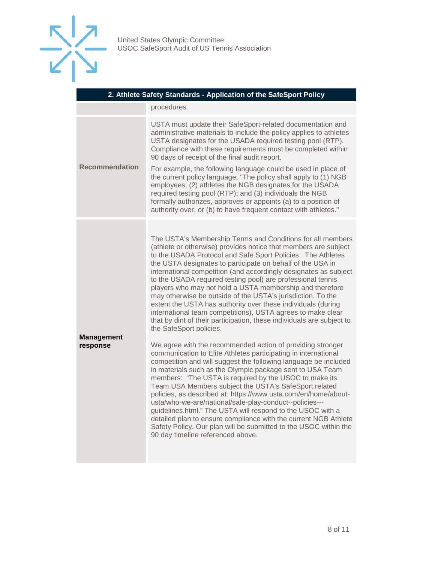

| 2. Athlete Safety Standards - Application of the SafeSport Policy |                                                                                                                                                                                                                                                                                                                                                                                                                                                                                                                                                                                                                                                                                                                                                                                                                                                                                                                                                                                                                                                                                                                                                                                                                                                                                                                                                                                                                                                                                                                       |  |
|-------------------------------------------------------------------|-----------------------------------------------------------------------------------------------------------------------------------------------------------------------------------------------------------------------------------------------------------------------------------------------------------------------------------------------------------------------------------------------------------------------------------------------------------------------------------------------------------------------------------------------------------------------------------------------------------------------------------------------------------------------------------------------------------------------------------------------------------------------------------------------------------------------------------------------------------------------------------------------------------------------------------------------------------------------------------------------------------------------------------------------------------------------------------------------------------------------------------------------------------------------------------------------------------------------------------------------------------------------------------------------------------------------------------------------------------------------------------------------------------------------------------------------------------------------------------------------------------------------|--|
|                                                                   | procedures.                                                                                                                                                                                                                                                                                                                                                                                                                                                                                                                                                                                                                                                                                                                                                                                                                                                                                                                                                                                                                                                                                                                                                                                                                                                                                                                                                                                                                                                                                                           |  |
| <b>Recommendation</b>                                             | USTA must update their SafeSport-related documentation and<br>administrative materials to include the policy applies to athletes<br>USTA designates for the USADA required testing pool (RTP).<br>Compliance with these requirements must be completed within<br>90 days of receipt of the final audit report.<br>For example, the following language could be used in place of<br>the current policy language, "The policy shall apply to (1) NGB<br>employees; (2) athletes the NGB designates for the USADA<br>required testing pool (RTP); and (3) individuals the NGB<br>formally authorizes, approves or appoints (a) to a position of<br>authority over, or (b) to have frequent contact with athletes."                                                                                                                                                                                                                                                                                                                                                                                                                                                                                                                                                                                                                                                                                                                                                                                                       |  |
| <b>Management</b><br>response                                     | The USTA's Membership Terms and Conditions for all members<br>(athlete or otherwise) provides notice that members are subject<br>to the USADA Protocol and Safe Sport Policies. The Athletes<br>the USTA designates to participate on behalf of the USA in<br>international competition (and accordingly designates as subject<br>to the USADA required testing pool) are professional tennis<br>players who may not hold a USTA membership and therefore<br>may otherwise be outside of the USTA's jurisdiction. To the<br>extent the USTA has authority over these individuals (during<br>international team competitions), USTA agrees to make clear<br>that by dint of their participation, these individuals are subject to<br>the SafeSport policies.<br>We agree with the recommended action of providing stronger<br>communication to Elite Athletes participating in international<br>competition and will suggest the following language be included<br>in materials such as the Olympic package sent to USA Team<br>members: "The USTA is required by the USOC to make its<br>Team USA Members subject the USTA's SafeSport related<br>policies, as described at: https://www.usta.com/en/home/about-<br>usta/who-we-are/national/safe-play-conduct--policies---<br>guidelines.html." The USTA will respond to the USOC with a<br>detailed plan to ensure compliance with the current NGB Athlete<br>Safety Policy. Our plan will be submitted to the USOC within the<br>90 day timeline referenced above. |  |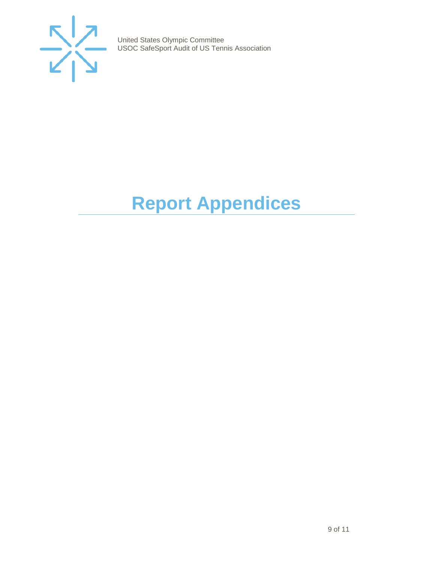

# <span id="page-8-0"></span>**Report Appendices**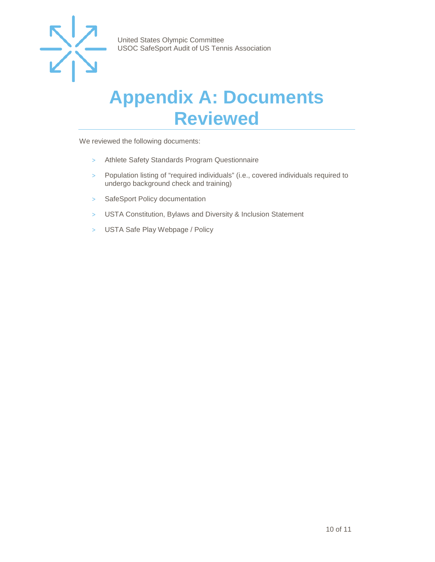

### <span id="page-9-0"></span>**Appendix A: Documents Reviewed**

We reviewed the following documents:

- > Athlete Safety Standards Program Questionnaire
- > Population listing of "required individuals" (i.e., covered individuals required to undergo background check and training)
- > SafeSport Policy documentation
- > USTA Constitution, Bylaws and Diversity & Inclusion Statement
- > USTA Safe Play Webpage / Policy